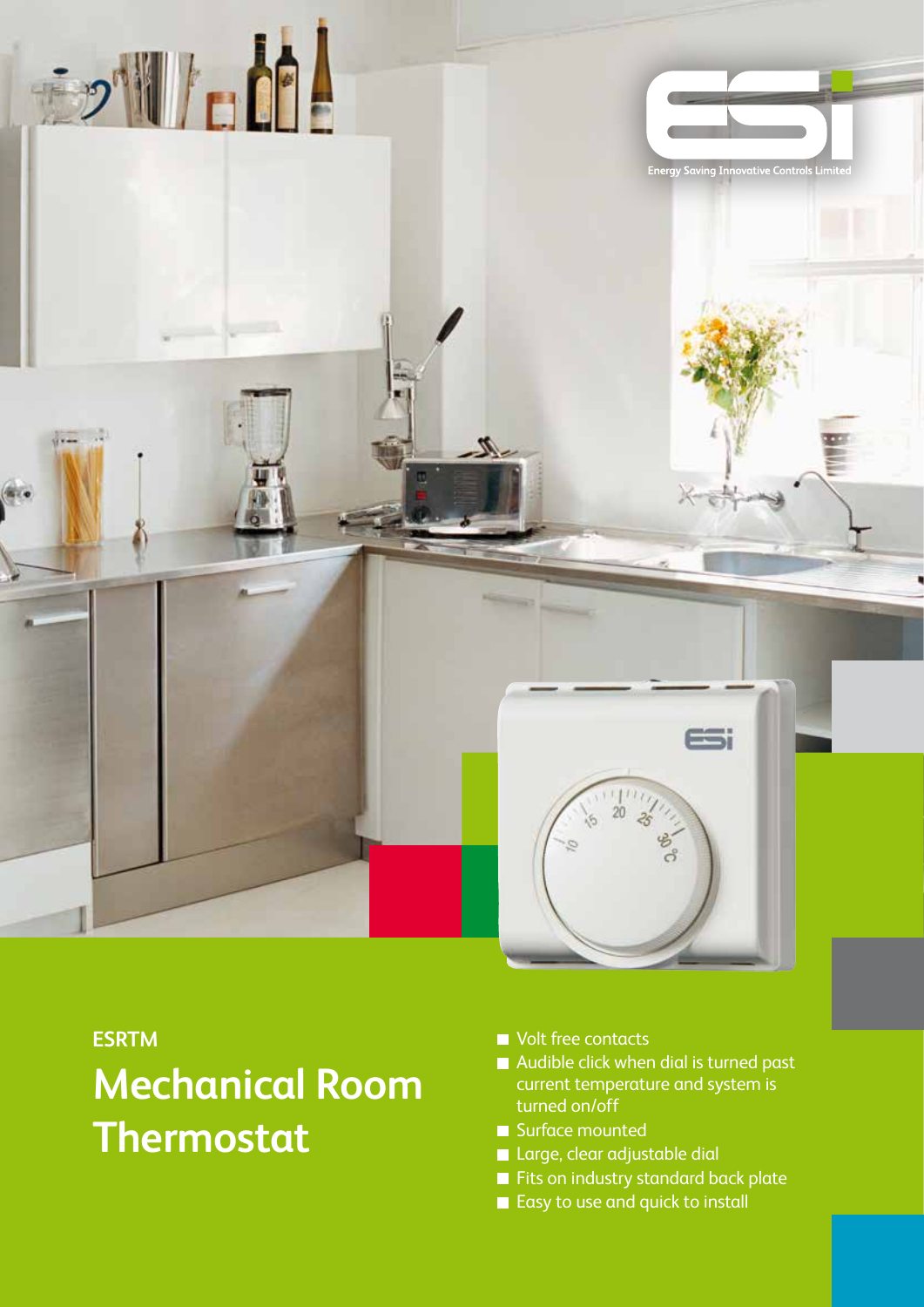

#### **ESRTM**

# **Mechanical Room Thermostat**

- Volt free contacts
- Audible click when dial is turned past current temperature and system is turned on/off
- Surface mounted
- **Large, clear adjustable dial**
- Fits on industry standard back plate
- Easy to use and quick to install